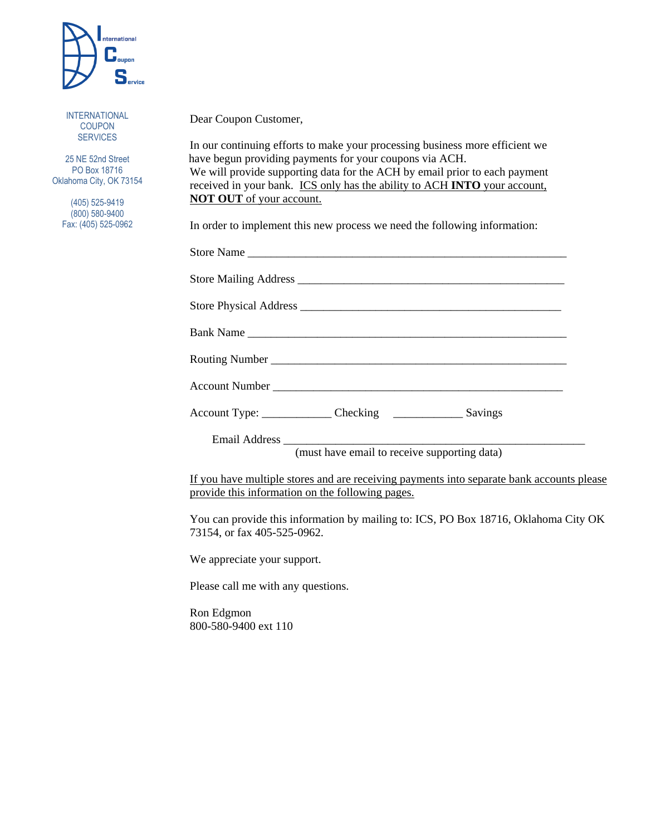

INTERNATIONAL COUPON **SERVICES** 

25 NE 52nd Street PO Box 18716 Oklahoma City, OK 73154

> (405) 525-9419 (800) 580-9400 Fax: (405) 525-0962

## Dear Coupon Customer,

In our continuing efforts to make your processing business more efficient we have begun providing payments for your coupons via ACH. We will provide supporting data for the ACH by email prior to each payment received in your bank. ICS only has the ability to ACH **INTO** your account, **NOT OUT** of your account.

In order to implement this new process we need the following information:

| Bank Name                                                                |
|--------------------------------------------------------------------------|
|                                                                          |
|                                                                          |
| Account Type: ____________________ Checking ____________________ Savings |
|                                                                          |
| (must have email to receive supporting data)                             |

If you have multiple stores and are receiving payments into separate bank accounts please provide this information on the following pages.

You can provide this information by mailing to: ICS, PO Box 18716, Oklahoma City OK 73154, or fax 405-525-0962.

We appreciate your support.

Please call me with any questions.

Ron Edgmon 800-580-9400 ext 110